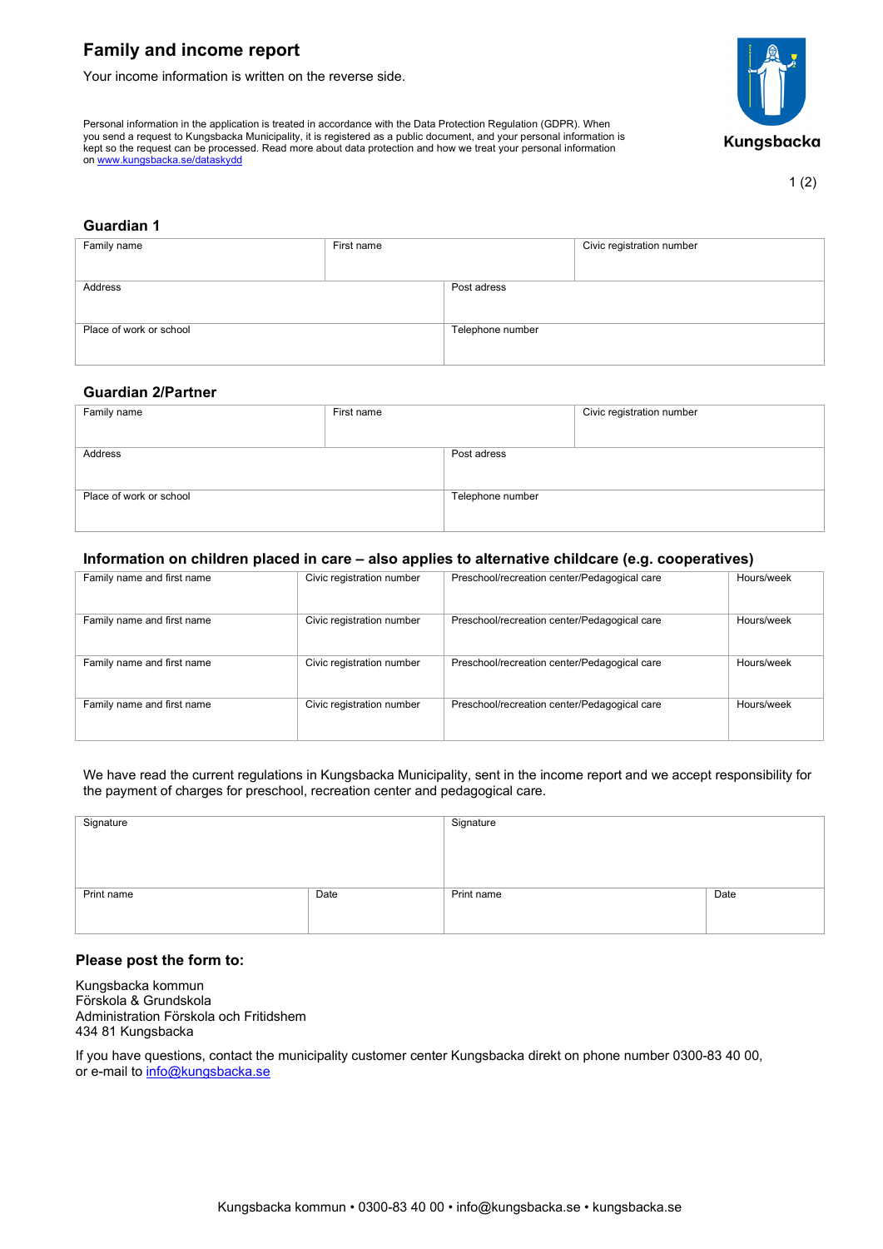# **Family and income report**

on [www.kungsbacka.se/dataskydd](https://www.kungsbacka.se/dataskydd)

Your income information is written on the reverse side.

Personal information in the application is treated in accordance with the Data Protection Regulation (GDPR). When you send a request to Kungsbacka Municipality, it is registered as a public document, and your personal information is kept so the request can be processed. Read more about data protection and how we treat your personal information



1 (2)

## **Guardian 1**

| Family name             | First name |                  | Civic registration number |
|-------------------------|------------|------------------|---------------------------|
|                         |            |                  |                           |
| Address                 |            | Post adress      |                           |
|                         |            |                  |                           |
|                         |            |                  |                           |
| Place of work or school |            | Telephone number |                           |
|                         |            |                  |                           |
|                         |            |                  |                           |

### **Guardian 2/Partner**

| Family name             | First name |                  | Civic registration number |
|-------------------------|------------|------------------|---------------------------|
|                         |            |                  |                           |
|                         |            |                  |                           |
|                         |            |                  |                           |
|                         |            |                  |                           |
| Address                 |            | Post adress      |                           |
|                         |            |                  |                           |
|                         |            |                  |                           |
|                         |            |                  |                           |
|                         |            |                  |                           |
|                         |            |                  |                           |
| Place of work or school |            | Telephone number |                           |
|                         |            |                  |                           |
|                         |            |                  |                           |
|                         |            |                  |                           |
|                         |            |                  |                           |

# **Information on children placed in care – also applies to alternative childcare (e.g. cooperatives)**

| Family name and first name | Civic registration number | Preschool/recreation center/Pedagogical care | Hours/week |
|----------------------------|---------------------------|----------------------------------------------|------------|
|                            |                           |                                              |            |
| Family name and first name | Civic registration number | Preschool/recreation center/Pedagogical care | Hours/week |
| Family name and first name | Civic registration number | Preschool/recreation center/Pedagogical care | Hours/week |
| Family name and first name | Civic registration number | Preschool/recreation center/Pedagogical care | Hours/week |

We have read the current regulations in Kungsbacka Municipality, sent in the income report and we accept responsibility for the payment of charges for preschool, recreation center and pedagogical care.

| Signature  |      | Signature  |      |
|------------|------|------------|------|
| Print name | Date | Print name | Date |

### **Please post the form to:**

Kungsbacka kommun Förskola & Grundskola Administration Förskola och Fritidshem 434 81 Kungsbacka

If you have questions, contact the municipality customer center Kungsbacka direkt on phone number 0300-83 40 00, or e-mail to [info@kungsbacka.se](mailto:info@kungsbacka.se)